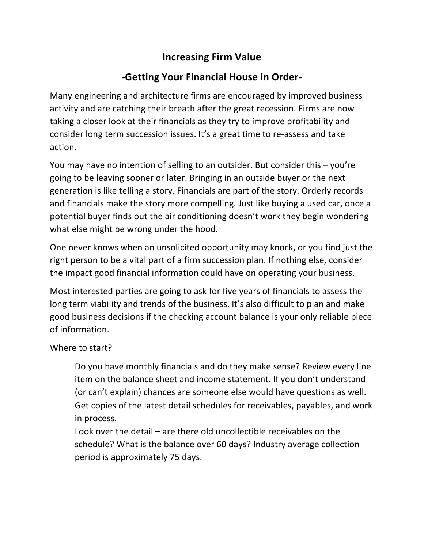## **Increasing Firm Value**

## **-Getting Your Financial House in Order-**

Many engineering and architecture firms are encouraged by improved business activity and are catching their breath after the great recession. Firms are now taking a closer look at their financials as they try to improve profitability and consider long term succession issues. It's a great time to re-assess and take action. 

You may have no intention of selling to an outsider. But consider this  $-$  you're going to be leaving sooner or later. Bringing in an outside buyer or the next generation is like telling a story. Financials are part of the story. Orderly records and financials make the story more compelling. Just like buying a used car, once a potential buyer finds out the air conditioning doesn't work they begin wondering what else might be wrong under the hood.

One never knows when an unsolicited opportunity may knock, or you find just the right person to be a vital part of a firm succession plan. If nothing else, consider the impact good financial information could have on operating your business.

Most interested parties are going to ask for five years of financials to assess the long term viability and trends of the business. It's also difficult to plan and make good business decisions if the checking account balance is your only reliable piece of information.

## Where to start?

Do you have monthly financials and do they make sense? Review every line item on the balance sheet and income statement. If you don't understand (or can't explain) chances are someone else would have questions as well. Get copies of the latest detail schedules for receivables, payables, and work in process.

Look over the detail  $-$  are there old uncollectible receivables on the schedule? What is the balance over 60 days? Industry average collection period is approximately 75 days.